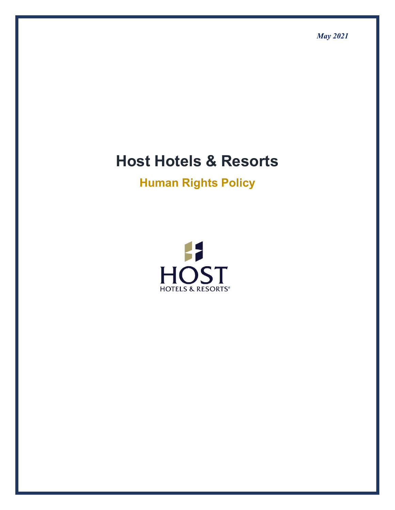# **Host Hotels & Resorts**

# **Human Rights Policy**

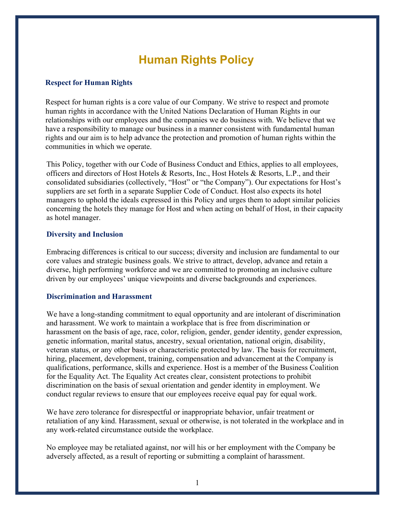# **Human Rights Policy**

# **Respect for Human Rights**

Respect for human rights is a core value of our Company. We strive to respect and promote human rights in accordance with the United Nations Declaration of Human Rights in our relationships with our employees and the companies we do business with. We believe that we have a responsibility to manage our business in a manner consistent with fundamental human rights and our aim is to help advance the protection and promotion of human rights within the communities in which we operate.

This Policy, together with our Code of Business Conduct and Ethics, applies to all employees, officers and directors of Host Hotels & Resorts, Inc., Host Hotels & Resorts, L.P., and their consolidated subsidiaries (collectively, "Host" or "the Company"). Our expectations for Host's suppliers are set forth in a separate Supplier Code of Conduct. Host also expects its hotel managers to uphold the ideals expressed in this Policy and urges them to adopt similar policies concerning the hotels they manage for Host and when acting on behalf of Host, in their capacity as hotel manager.

## **Diversity and Inclusion**

Embracing differences is critical to our success; diversity and inclusion are fundamental to our core values and strategic business goals. We strive to attract, develop, advance and retain a diverse, high performing workforce and we are committed to promoting an inclusive culture driven by our employees' unique viewpoints and diverse backgrounds and experiences.

## **Discrimination and Harassment**

We have a long-standing commitment to equal opportunity and are intolerant of discrimination and harassment. We work to maintain a workplace that is free from discrimination or harassment on the basis of age, race, color, religion, gender, gender identity, gender expression, genetic information, marital status, ancestry, sexual orientation, national origin, disability, veteran status, or any other basis or characteristic protected by law. The basis for recruitment, hiring, placement, development, training, compensation and advancement at the Company is qualifications, performance, skills and experience. Host is a member of the Business Coalition for the Equality Act. The Equality Act creates clear, consistent protections to prohibit discrimination on the basis of sexual orientation and gender identity in employment. We conduct regular reviews to ensure that our employees receive equal pay for equal work.

We have zero tolerance for disrespectful or inappropriate behavior, unfair treatment or retaliation of any kind. Harassment, sexual or otherwise, is not tolerated in the workplace and in any work-related circumstance outside the workplace.

No employee may be retaliated against, nor will his or her employment with the Company be adversely affected, as a result of reporting or submitting a complaint of harassment.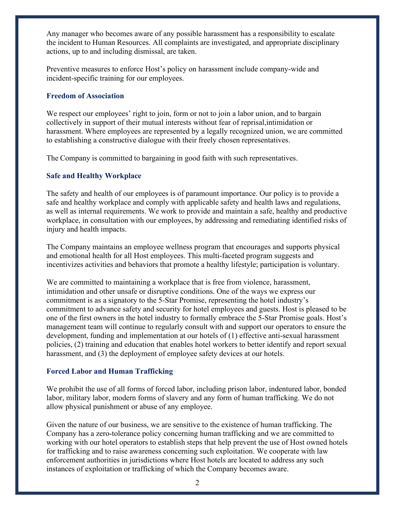Any manager who becomes aware of any possible harassment has a responsibility to escalate the incident to Human Resources. All complaints are investigated, and appropriate disciplinary actions, up to and including dismissal, are taken.

Preventive measures to enforce Host's policy on harassment include company-wide and incident-specific training for our employees.

# **Freedom of Association**

We respect our employees' right to join, form or not to join a labor union, and to bargain collectively in support of their mutual interests without fear of reprisal,intimidation or harassment. Where employees are represented by a legally recognized union, we are committed to establishing a constructive dialogue with their freely chosen representatives.

The Company is committed to bargaining in good faith with such representatives.

# **Safe and Healthy Workplace**

The safety and health of our employees is of paramount importance. Our policy is to provide a safe and healthy workplace and comply with applicable safety and health laws and regulations, as well as internal requirements. We work to provide and maintain a safe, healthy and productive workplace, in consultation with our employees, by addressing and remediating identified risks of injury and health impacts.

The Company maintains an employee wellness program that encourages and supports physical and emotional health for all Host employees. This multi-faceted program suggests and incentivizes activities and behaviors that promote a healthy lifestyle; participation is voluntary.

We are committed to maintaining a workplace that is free from violence, harassment, intimidation and other unsafe or disruptive conditions. One of the ways we express our commitment is as a signatory to the 5-Star Promise, representing the hotel industry's commitment to advance safety and security for hotel employees and guests. Host is pleased to be one of the first owners in the hotel industry to formally embrace the 5-Star Promise goals. Host's management team will continue to regularly consult with and support our operators to ensure the development, funding and implementation at our hotels of (1) effective anti-sexual harassment policies, (2) training and education that enables hotel workers to better identify and report sexual harassment, and (3) the deployment of employee safety devices at our hotels.

# **Forced Labor and Human Trafficking**

We prohibit the use of all forms of forced labor, including prison labor, indentured labor, bonded labor, military labor, modern forms of slavery and any form of human trafficking. We do not allow physical punishment or abuse of any employee.

Given the nature of our business, we are sensitive to the existence of human trafficking. The Company has a zero-tolerance policy concerning human trafficking and we are committed to working with our hotel operators to establish steps that help prevent the use of Host owned hotels for trafficking and to raise awareness concerning such exploitation. We cooperate with law enforcement authorities in jurisdictions where Host hotels are located to address any such instances of exploitation or trafficking of which the Company becomes aware.